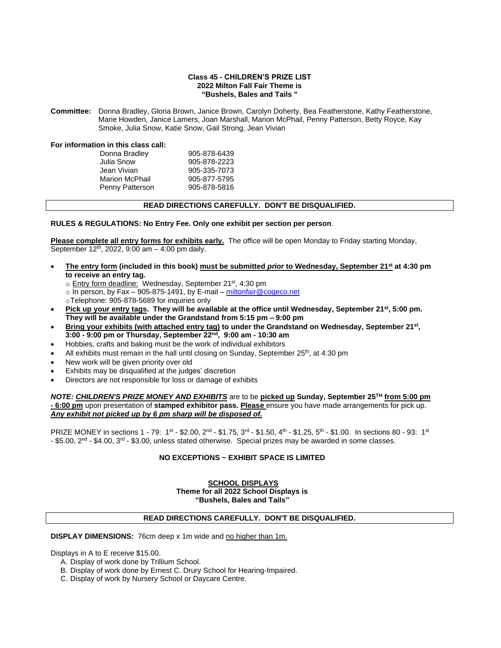#### **Class 45 - CHILDREN'S PRIZE LIST 2022 Milton Fall Fair Theme is "Bushels, Bales and Tails "**

**Committee:** Donna Bradley, Gloria Brown, Janice Brown, Carolyn Doherty, Bea Featherstone, Kathy Featherstone, Marie Howden, Janice Lamers, Joan Marshall, Marion McPhail, Penny Patterson, Betty Royce, Kay Smoke, Julia Snow, Katie Snow, Gail Strong, Jean Vivian

**For information in this class call:**

| Donna Bradley         | 905-878-6439 |
|-----------------------|--------------|
| Julia Snow            | 905-878-2223 |
| Jean Vivian           | 905-335-7073 |
| <b>Marion McPhail</b> | 905-877-5795 |
| Penny Patterson       | 905-878-5816 |
|                       |              |

### **READ DIRECTIONS CAREFULLY. DON'T BE DISQUALIFIED.**

**RULES & REGULATIONS: No Entry Fee. Only one exhibit per section per person**.

**Please complete all entry forms for exhibits early.** The office will be open Monday to Friday starting Monday, September 12<sup>th</sup>, 2022, 9:00 am - 4:00 pm daily.

- **The entry form (included in this book) must be submitted** *prior* **to Wednesday, September 21st at 4:30 pm to receive an entry tag.**
	- o Entry form deadline: Wednesday, September 21st, 4:30 pm
	- $\circ$  In person, by Fax 905-875-1491, by E-mail [miltonfair@cogeco.net](mailto:miltonfair@cogeco.net)
	- oTelephone: 905-878-5689 for inquiries only
- **Pick up your entry tags. They will be available at the office until Wednesday, September 21st, 5:00 pm. They will be available under the Grandstand from 5:15 pm – 9:00 pm**
- **Bring your exhibits (with attached entry tag) to under the Grandstand on Wednesday, September 21st , 3:00 - 9:00 pm or Thursday, September 22 nd, 9:00 am - 10:30 am**
- Hobbies, crafts and baking must be the work of individual exhibitors
- All exhibits must remain in the hall until closing on Sunday, September  $25<sup>th</sup>$ , at 4:30 pm
- New work will be given priority over old
- Exhibits may be disqualified at the judges' discretion
- Directors are not responsible for loss or damage of exhibits

#### *NOTE: CHILDREN'S PRIZE MONEY AND EXHIBITS* are to be **picked up Sunday, September 25 TH from 5:00 pm - 6:00 pm** upon presentation of **stamped exhibitor pass. Please** ensure you have made arrangements for pick up. *Any exhibit not picked up by 6 pm sharp will be disposed of.*

PRIZE MONEY in sections 1 - 79: 1st - \$2.00, 2nd - \$1.75, 3rd - \$1.50, 4th - \$1.25, 5th - \$1.00. In sections 80 - 93: 1st - \$5.00, 2<sup>nd</sup> - \$4.00, 3<sup>rd</sup> - \$3.00, unless stated otherwise. Special prizes may be awarded in some classes.

### **NO EXCEPTIONS ~ EXHIBIT SPACE IS LIMITED**

**SCHOOL DISPLAYS Theme for all 2022 School Displays is "Bushels, Bales and Tails"**

### **READ DIRECTIONS CAREFULLY. DON'T BE DISQUALIFIED.**

**DISPLAY DIMENSIONS:** 76cm deep x 1m wide and no higher than 1m.

Displays in A to E receive \$15.00.

- A. Display of work done by Trillium School.
- B. Display of work done by Ernest C. Drury School for Hearing-Impaired.
- C. Display of work by Nursery School or Daycare Centre.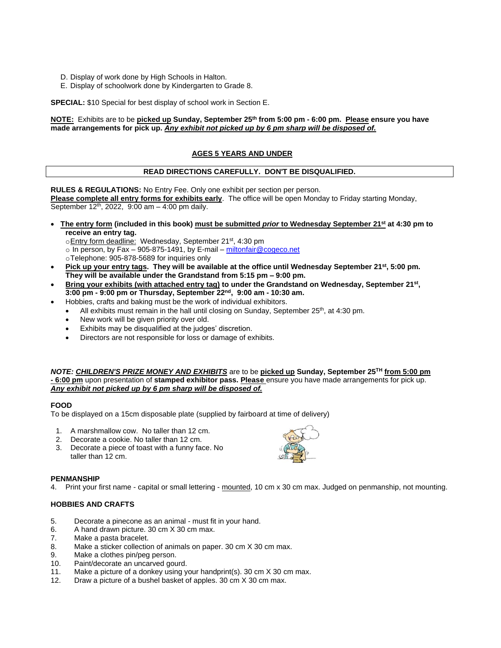- D. Display of work done by High Schools in Halton.
- E. Display of schoolwork done by Kindergarten to Grade 8.

**SPECIAL:** \$10 Special for best display of school work in Section E.

#### **NOTE:** Exhibits are to be **picked up Sunday, September 25 th from 5:00 pm - 6:00 pm. Please ensure you have made arrangements for pick up.** *Any exhibit not picked up by 6 pm sharp will be disposed of.*

# **AGES 5 YEARS AND UNDER**

### **READ DIRECTIONS CAREFULLY. DON'T BE DISQUALIFIED.**

**RULES & REGULATIONS:** No Entry Fee. Only one exhibit per section per person. **Please complete all entry forms for exhibits early**. The office will be open Monday to Friday starting Monday, September 12<sup>th</sup>, 2022, 9:00 am - 4:00 pm daily.

- **The entry form (included in this book) must be submitted** *prior* **to Wednesday September 21st at 4:30 pm to receive an entry tag.**
	- oEntry form deadline: Wednesday, September 21<sup>st</sup>, 4:30 pm
	- $\overline{\circ}$  In person, by Fax 905-875-1491, by E-mail [miltonfair@cogeco.net](mailto:miltonfair@cogeco.net)
	- oTelephone: 905-878-5689 for inquiries only
- **Pick up your entry tags. They will be available at the office until Wednesday September 21st, 5:00 pm. They will be available under the Grandstand from 5:15 pm – 9:00 pm.**
- **Bring your exhibits (with attached entry tag) to under the Grandstand on Wednesday, September 21st , 3:00 pm - 9:00 pm or Thursday, September 22 nd, 9:00 am - 10:30 am.**
- Hobbies, crafts and baking must be the work of individual exhibitors.
	- All exhibits must remain in the hall until closing on Sunday, September  $25<sup>th</sup>$ , at 4:30 pm.
	- New work will be given priority over old.
	- Exhibits may be disqualified at the judges' discretion.
	- Directors are not responsible for loss or damage of exhibits.

*NOTE: CHILDREN'S PRIZE MONEY AND EXHIBITS* are to be **picked up Sunday, September 25 TH from 5:00 pm - 6:00 pm** upon presentation of **stamped exhibitor pass. Please** ensure you have made arrangements for pick up. *Any exhibit not picked up by 6 pm sharp will be disposed of.* 

#### **FOOD**

To be displayed on a 15cm disposable plate (supplied by fairboard at time of delivery)

- 1. A marshmallow cow. No taller than 12 cm.
- 2. Decorate a cookie. No taller than 12 cm.
- 3. Decorate a piece of toast with a funny face. No taller than 12 cm.

#### **PENMANSHIP**

4. Print your first name - capital or small lettering - mounted, 10 cm x 30 cm max. Judged on penmanship, not mounting.

- 5. Decorate a pinecone as an animal must fit in your hand.
- 6. A hand drawn picture. 30 cm X 30 cm max.
- 7. Make a pasta bracelet.
- 8. Make a sticker collection of animals on paper. 30 cm X 30 cm max.
- 9. Make a clothes pin/peg person.
- 10. Paint/decorate an uncarved gourd.
- 11. Make a picture of a donkey using your handprint(s). 30 cm X 30 cm max.
- 12. Draw a picture of a bushel basket of apples. 30 cm X 30 cm max.

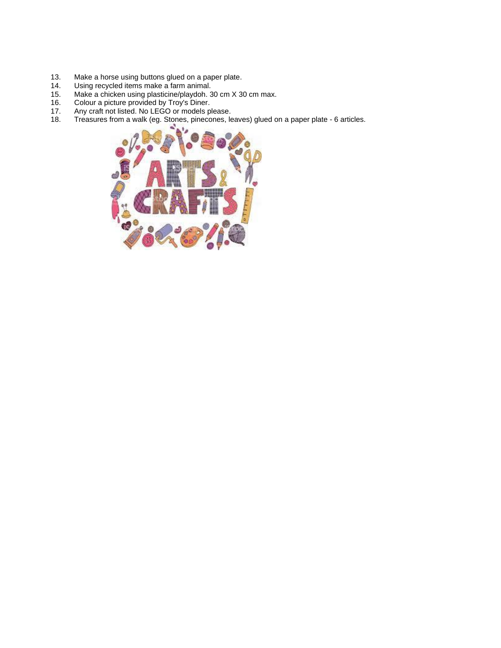- 13. Make a horse using buttons glued on a paper plate.
- 14. Using recycled items make a farm animal.
- 15. Make a chicken using plasticine/playdoh. 30 cm X 30 cm max.
- 16. Colour a picture provided by Troy's Diner.
- 17. Any craft not listed. No LEGO or models please.
- 18. Treasures from a walk (eg. Stones, pinecones, leaves) glued on a paper plate 6 articles.

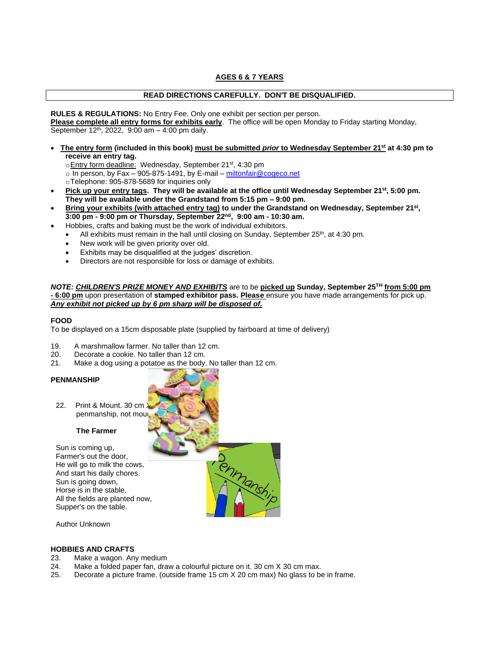# **AGES 6 & 7 YEARS**

# **READ DIRECTIONS CAREFULLY. DON'T BE DISQUALIFIED.**

**RULES & REGULATIONS:** No Entry Fee. Only one exhibit per section per person. **Please complete all entry forms for exhibits early**. The office will be open Monday to Friday starting Monday, September 12<sup>th</sup>, 2022, 9:00 am - 4:00 pm daily.

- **The entry form (included in this book) must be submitted** *prior* **to Wednesday September 21st at 4:30 pm to receive an entry tag.**
	- oEntry form deadline: Wednesday, September 21<sup>st</sup>, 4:30 pm
	- o In person, by Fax 905-875-1491, by E-mail [miltonfair@cogeco.net](mailto:miltonfair@cogeco.net)
	- oTelephone: 905-878-5689 for inquiries only
- **Pick up your entry tags. They will be available at the office until Wednesday September 21st, 5:00 pm. They will be available under the Grandstand from 5:15 pm – 9:00 pm.**
- **Bring your exhibits (with attached entry tag) to under the Grandstand on Wednesday, September 21st , 3:00 pm - 9:00 pm or Thursday, September 22 nd, 9:00 am - 10:30 am.**
	- Hobbies, crafts and baking must be the work of individual exhibitors.
	- $\bullet$  All exhibits must remain in the hall until closing on Sunday, September 25<sup>th</sup>, at 4:30 pm.
	- New work will be given priority over old.
	- Exhibits may be disqualified at the judges' discretion.
	- Directors are not responsible for loss or damage of exhibits.

#### *NOTE: CHILDREN'S PRIZE MONEY AND EXHIBITS* are to be **picked up Sunday, September 25 TH from 5:00 pm - 6:00 pm** upon presentation of **stamped exhibitor pass. Please** ensure you have made arrangements for pick up. *Any exhibit not picked up by 6 pm sharp will be disposed of.*

# **FOOD**

To be displayed on a 15cm disposable plate (supplied by fairboard at time of delivery)

- 19. A marshmallow farmer. No taller than 12 cm.
- 20. Decorate a cookie. No taller than 12 cm.
- 21. Make a dog using a potatoe as the body. No taller than 12 cm.

### **PENMANSHIP**

22. Print & Mount. 30 cm. penmanship, not moul

### **The Farmer**

Sun is coming up, Farmer's out the door, He will go to milk the cows, And start his daily chores. Sun is going down, Horse is in the stable, All the fields are planted now, Supper's on the table.



Author Unknown

- Make a wagon. Any medium
- 24. Make a folded paper fan, draw a colourful picture on it. 30 cm X 30 cm max.
- 25. Decorate a picture frame. (outside frame 15 cm X 20 cm max) No glass to be in frame.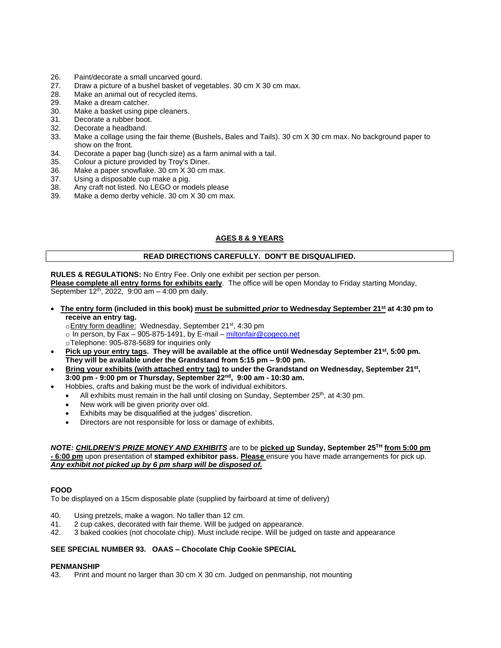- 26. Paint/decorate a small uncarved gourd.<br>27. Draw a picture of a bushel basket of veg
- Draw a picture of a bushel basket of vegetables. 30 cm X 30 cm max.
- 28. Make an animal out of recycled items.
- 29. Make a dream catcher.
- 30. Make a basket using pipe cleaners.
- 31. Decorate a rubber boot.
- 32. Decorate a headband.
- 33. Make a collage using the fair theme (Bushels, Bales and Tails). 30 cm X 30 cm max. No background paper to show on the front.
- 34. Decorate a paper bag (lunch size) as a farm animal with a tail.
- 35. Colour a picture provided by Troy's Diner.
- 36. Make a paper snowflake. 30 cm X 30 cm max.
- 37. Using a disposable cup make a pig.<br>38. Any craft not listed. No LEGO or mo
- 38. Any craft not listed. No LEGO or models please
- Make a demo derby vehicle. 30 cm X 30 cm max.

# **AGES 8 & 9 YEARS**

# **READ DIRECTIONS CAREFULLY. DON'T BE DISQUALIFIED.**

**RULES & REGULATIONS:** No Entry Fee. Only one exhibit per section per person.

**Please complete all entry forms for exhibits early**. The office will be open Monday to Friday starting Monday, September 12<sup>th</sup>, 2022, 9:00 am - 4:00 pm daily.

- **The entry form (included in this book) must be submitted** *prior* **to Wednesday September 21st at 4:30 pm to receive an entry tag.**
	- oEntry form deadline: Wednesday, September 21<sup>st</sup>, 4:30 pm

 $\circ$  In person, by Fax – 905-875-1491, by E-mail – [miltonfair@cogeco.net](mailto:miltonfair@cogeco.net)

- oTelephone: 905-878-5689 for inquiries only
- **Pick up your entry tags. They will be available at the office until Wednesday September 21st, 5:00 pm. They will be available under the Grandstand from 5:15 pm – 9:00 pm.**
- **Bring your exhibits (with attached entry tag) to under the Grandstand on Wednesday, September 21st , 3:00 pm - 9:00 pm or Thursday, September 22 nd, 9:00 am - 10:30 am.**
	- Hobbies, crafts and baking must be the work of individual exhibitors.
		- All exhibits must remain in the hall until closing on Sunday, September  $25<sup>th</sup>$ , at 4:30 pm.
		- New work will be given priority over old.
		- Exhibits may be disqualified at the judges' discretion.
		- Directors are not responsible for loss or damage of exhibits.

#### *NOTE: CHILDREN'S PRIZE MONEY AND EXHIBITS* are to be **picked up Sunday, September 25 TH from 5:00 pm - 6:00 pm** upon presentation of **stamped exhibitor pass. Please** ensure you have made arrangements for pick up. *Any exhibit not picked up by 6 pm sharp will be disposed of.*

### **FOOD**

To be displayed on a 15cm disposable plate (supplied by fairboard at time of delivery)

- 40. Using pretzels, make a wagon. No taller than 12 cm.
- 41. 2 cup cakes, decorated with fair theme. Will be judged on appearance.<br>42. 3 baked cookies (not chocolate chip). Must include recipe. Will be judge
- 42. 3 baked cookies (not chocolate chip). Must include recipe. Will be judged on taste and appearance

### **SEE SPECIAL NUMBER 93. OAAS – Chocolate Chip Cookie SPECIAL**

#### **PENMANSHIP**

43. Print and mount no larger than 30 cm X 30 cm. Judged on penmanship, not mounting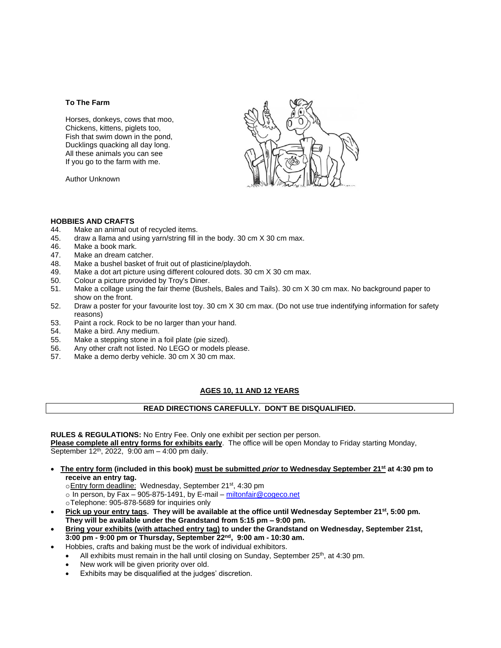#### **To The Farm**

Horses, donkeys, cows that moo, Chickens, kittens, piglets too, Fish that swim down in the pond, Ducklings quacking all day long. All these animals you can see If you go to the farm with me.

Author Unknown



# **HOBBIES AND CRAFTS**

- Make an animal out of recycled items.
- 45. draw a llama and using yarn/string fill in the body. 30 cm X 30 cm max.
- 46. Make a book mark.
- 47. Make an dream catcher.
- 48. Make a bushel basket of fruit out of plasticine/playdoh.
- 49. Make a dot art picture using different coloured dots. 30 cm X 30 cm max.
- 50. Colour a picture provided by Troy's Diner.
- 51. Make a collage using the fair theme (Bushels, Bales and Tails). 30 cm X 30 cm max. No background paper to show on the front.
- 52. Draw a poster for your favourite lost toy. 30 cm X 30 cm max. (Do not use true indentifying information for safety reasons)
- 53. Paint a rock. Rock to be no larger than your hand.
- 54. Make a bird. Any medium.
- 55. Make a stepping stone in a foil plate (pie sized).
- 56. Any other craft not listed. No LEGO or models please.
- 57. Make a demo derby vehicle. 30 cm X 30 cm max.

# **AGES 10, 11 AND 12 YEARS**

# **READ DIRECTIONS CAREFULLY. DON'T BE DISQUALIFIED.**

**RULES & REGULATIONS:** No Entry Fee. Only one exhibit per section per person.

**Please complete all entry forms for exhibits early**. The office will be open Monday to Friday starting Monday, September 12<sup>th</sup>, 2022, 9:00 am - 4:00 pm daily.

- **The entry form (included in this book) must be submitted** *prior* **to Wednesday September 21st at 4:30 pm to receive an entry tag.**
	- oEntry form deadline: Wednesday, September 21st, 4:30 pm

 $\overline{\circ}$  In person, by Fax – 905-875-1491, by E-mail – [miltonfair@cogeco.net](mailto:miltonfair@cogeco.net)

oTelephone: 905-878-5689 for inquiries only

- **Pick up your entry tags. They will be available at the office until Wednesday September 21st, 5:00 pm. They will be available under the Grandstand from 5:15 pm – 9:00 pm.**
- **Bring your exhibits (with attached entry tag) to under the Grandstand on Wednesday, September 21st, 3:00 pm - 9:00 pm or Thursday, September 22 nd, 9:00 am - 10:30 am.**
- Hobbies, crafts and baking must be the work of individual exhibitors.
	- All exhibits must remain in the hall until closing on Sunday, September  $25<sup>th</sup>$ , at 4:30 pm.
	- New work will be given priority over old.
	- Exhibits may be disqualified at the judges' discretion.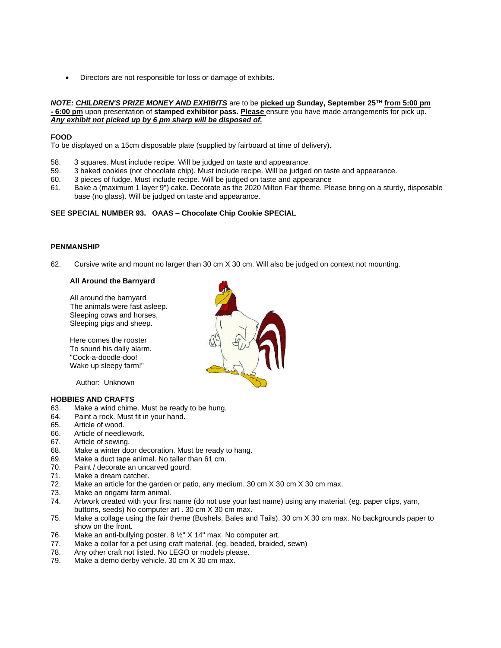• Directors are not responsible for loss or damage of exhibits.

#### *NOTE: CHILDREN'S PRIZE MONEY AND EXHIBITS* are to be **picked up Sunday, September 25 TH from 5:00 pm - 6:00 pm** upon presentation of **stamped exhibitor pass. Please** ensure you have made arrangements for pick up. *Any exhibit not picked up by 6 pm sharp will be disposed of.*

### **FOOD**

To be displayed on a 15cm disposable plate (supplied by fairboard at time of delivery).

- 58. 3 squares. Must include recipe. Will be judged on taste and appearance.
- 59. 3 baked cookies (not chocolate chip). Must include recipe. Will be judged on taste and appearance.<br>60. 3 pieces of fudge. Must include recipe. Will be judged on taste and appearance
- 3 pieces of fudge. Must include recipe. Will be judged on taste and appearance
- 61. Bake a (maximum 1 layer 9") cake. Decorate as the 2020 Milton Fair theme. Please bring on a sturdy, disposable base (no glass). Will be judged on taste and appearance.

### **SEE SPECIAL NUMBER 93. OAAS – Chocolate Chip Cookie SPECIAL**

# **PENMANSHIP**

62. Cursive write and mount no larger than 30 cm X 30 cm. Will also be judged on context not mounting.

### **All Around the Barnyard**

All around the barnyard The animals were fast asleep. Sleeping cows and horses, Sleeping pigs and sheep.

Here comes the rooster To sound his daily alarm. "Cock-a-doodle-doo! Wake up sleepy farm!"

Author: Unknown

- 63. Make a wind chime. Must be ready to be hung.
- 64. Paint a rock. Must fit in your hand.
- 65. Article of wood.
- 66. Article of needlework.
- 67. Article of sewing.
- 68. Make a winter door decoration. Must be ready to hang.
- 69. Make a duct tape animal. No taller than 61 cm.<br>70. Paint / decorate an uncarved gourd.
- Paint / decorate an uncarved gourd.
- 71. Make a dream catcher.
- 72. Make an article for the garden or patio, any medium. 30 cm X 30 cm X 30 cm max.
- 73. Make an origami farm animal.
- 74. Artwork created with your first name (do not use your last name) using any material. (eg. paper clips, yarn, buttons, seeds) No computer art . 30 cm X 30 cm max.
- 75. Make a collage using the fair theme (Bushels, Bales and Tails). 30 cm X 30 cm max. No backgrounds paper to show on the front.
- 76. Make an anti-bullying poster. 8 ½" X 14" max. No computer art.
- 77. Make a collar for a pet using craft material. (eg. beaded, braided, sewn)
- 78. Any other craft not listed. No LEGO or models please.
- 79. Make a demo derby vehicle. 30 cm X 30 cm max.

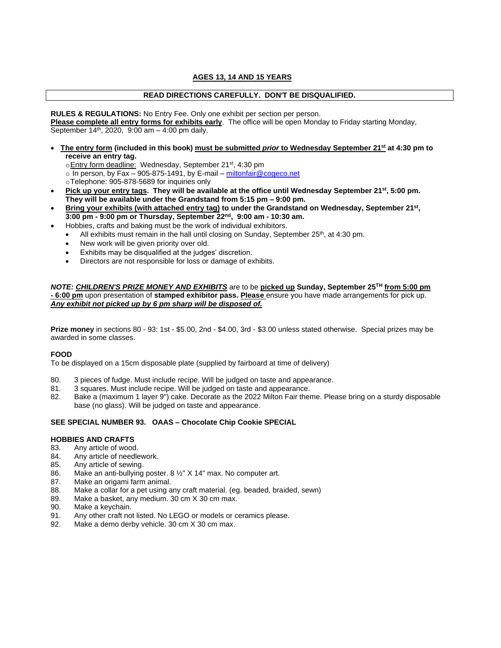# **AGES 13, 14 AND 15 YEARS**

### **READ DIRECTIONS CAREFULLY. DON'T BE DISQUALIFIED.**

**RULES & REGULATIONS:** No Entry Fee. Only one exhibit per section per person. **Please complete all entry forms for exhibits early**. The office will be open Monday to Friday starting Monday, September 14<sup>th</sup>, 2020, 9:00 am - 4:00 pm daily.

- **The entry form (included in this book) must be submitted** *prior* **to Wednesday September 21st at 4:30 pm to receive an entry tag.**
	- oEntry form deadline: Wednesday, September 21<sup>st</sup>, 4:30 pm
	- $\circ$  In person, by Fax 905-875-1491, by E-mail [miltonfair@cogeco.net](mailto:miltonfair@cogeco.net)
	- oTelephone: 905-878-5689 for inquiries only
- **Pick up your entry tags. They will be available at the office until Wednesday September 21st, 5:00 pm. They will be available under the Grandstand from 5:15 pm – 9:00 pm.**
- **Bring your exhibits (with attached entry tag) to under the Grandstand on Wednesday, September 21st , 3:00 pm - 9:00 pm or Thursday, September 22 nd, 9:00 am - 10:30 am.**
	- Hobbies, crafts and baking must be the work of individual exhibitors.
	- $\bullet$  All exhibits must remain in the hall until closing on Sunday, September 25<sup>th</sup>, at 4:30 pm.
	- New work will be given priority over old.
	- Exhibits may be disqualified at the judges' discretion.
	- Directors are not responsible for loss or damage of exhibits.

#### *NOTE: CHILDREN'S PRIZE MONEY AND EXHIBITS* are to be **picked up Sunday, September 25 TH from 5:00 pm - 6:00 pm** upon presentation of **stamped exhibitor pass. Please** ensure you have made arrangements for pick up. *Any exhibit not picked up by 6 pm sharp will be disposed of.*

**Prize money** in sections 80 - 93: 1st - \$5.00, 2nd - \$4.00, 3rd - \$3.00 unless stated otherwise. Special prizes may be awarded in some classes.

#### **FOOD**

To be displayed on a 15cm disposable plate (supplied by fairboard at time of delivery)

- 80. 3 pieces of fudge. Must include recipe. Will be judged on taste and appearance.
- 81. 3 squares. Must include recipe. Will be judged on taste and appearance.
- 82. Bake a (maximum 1 layer 9") cake. Decorate as the 2022 Milton Fair theme. Please bring on a sturdy disposable base (no glass). Will be judged on taste and appearance.

#### **SEE SPECIAL NUMBER 93. OAAS – Chocolate Chip Cookie SPECIAL**

- 83. Any article of wood.
- 84. Any article of needlework.
- 85. Any article of sewing.
- 86. Make an anti-bullying poster. 8 ½" X 14" max. No computer art.
- 87. Make an origami farm animal.
- 88. Make a collar for a pet using any craft material. (eg. beaded, braided, sewn)
- 89. Make a basket, any medium. 30 cm X 30 cm max.
- 90. Make a keychain.
- 91. Any other craft not listed. No LEGO or models or ceramics please.
- 92. Make a demo derby vehicle. 30 cm X 30 cm max.